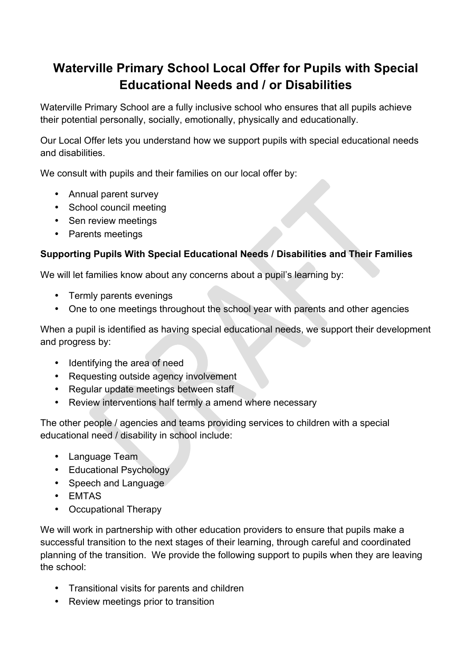# **Waterville Primary School Local Offer for Pupils with Special Educational Needs and / or Disabilities**

Waterville Primary School are a fully inclusive school who ensures that all pupils achieve their potential personally, socially, emotionally, physically and educationally.

Our Local Offer lets you understand how we support pupils with special educational needs and disabilities.

We consult with pupils and their families on our local offer by:

- Annual parent survey
- School council meeting
- Sen review meetings
- Parents meetings

## **Supporting Pupils With Special Educational Needs / Disabilities and Their Families**

We will let families know about any concerns about a pupil's learning by:

- Termly parents evenings
- One to one meetings throughout the school year with parents and other agencies

When a pupil is identified as having special educational needs, we support their development and progress by:

- Identifying the area of need
- Requesting outside agency involvement
- Regular update meetings between staff
- Review interventions half termly a amend where necessary

The other people / agencies and teams providing services to children with a special educational need / disability in school include:

- Language Team
- Educational Psychology
- Speech and Language
- EMTAS
- Occupational Therapy

We will work in partnership with other education providers to ensure that pupils make a successful transition to the next stages of their learning, through careful and coordinated planning of the transition. We provide the following support to pupils when they are leaving the school:

- Transitional visits for parents and children
- Review meetings prior to transition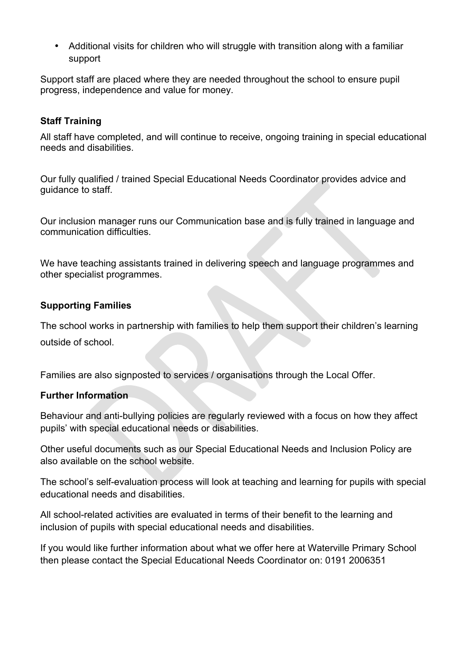• Additional visits for children who will struggle with transition along with a familiar support

Support staff are placed where they are needed throughout the school to ensure pupil progress, independence and value for money.

### **Staff Training**

All staff have completed, and will continue to receive, ongoing training in special educational needs and disabilities.

Our fully qualified / trained Special Educational Needs Coordinator provides advice and guidance to staff.

Our inclusion manager runs our Communication base and is fully trained in language and communication difficulties.

We have teaching assistants trained in delivering speech and language programmes and other specialist programmes.

#### **Supporting Families**

The school works in partnership with families to help them support their children's learning outside of school.

Families are also signposted to services / organisations through the Local Offer.

#### **Further Information**

Behaviour and anti-bullying policies are regularly reviewed with a focus on how they affect pupils' with special educational needs or disabilities.

Other useful documents such as our Special Educational Needs and Inclusion Policy are also available on the school website.

The school's self-evaluation process will look at teaching and learning for pupils with special educational needs and disabilities.

All school-related activities are evaluated in terms of their benefit to the learning and inclusion of pupils with special educational needs and disabilities.

If you would like further information about what we offer here at Waterville Primary School then please contact the Special Educational Needs Coordinator on: 0191 2006351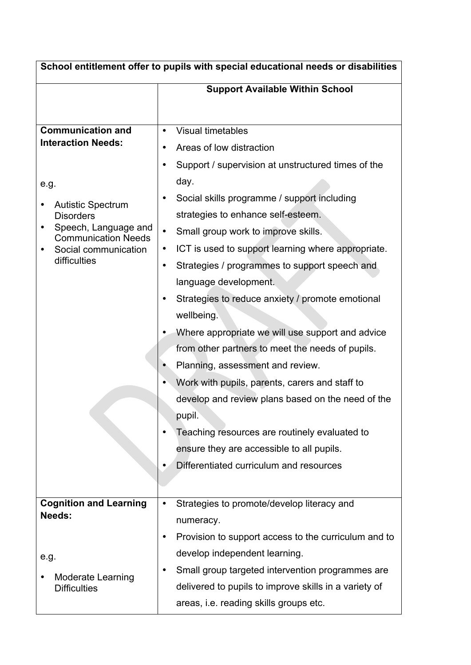| School entitlement offer to pupils with special educational needs or disabilities                                                                                                                                |                                                                                                                                                                                                                                                                                                                                                                                                                                                                                                                                                                                                                                                                                                                                                                                                                                                                                                                                                        |  |
|------------------------------------------------------------------------------------------------------------------------------------------------------------------------------------------------------------------|--------------------------------------------------------------------------------------------------------------------------------------------------------------------------------------------------------------------------------------------------------------------------------------------------------------------------------------------------------------------------------------------------------------------------------------------------------------------------------------------------------------------------------------------------------------------------------------------------------------------------------------------------------------------------------------------------------------------------------------------------------------------------------------------------------------------------------------------------------------------------------------------------------------------------------------------------------|--|
|                                                                                                                                                                                                                  | <b>Support Available Within School</b>                                                                                                                                                                                                                                                                                                                                                                                                                                                                                                                                                                                                                                                                                                                                                                                                                                                                                                                 |  |
|                                                                                                                                                                                                                  |                                                                                                                                                                                                                                                                                                                                                                                                                                                                                                                                                                                                                                                                                                                                                                                                                                                                                                                                                        |  |
| <b>Communication and</b><br><b>Interaction Needs:</b><br>e.g.<br><b>Autistic Spectrum</b><br><b>Disorders</b><br>Speech, Language and<br>٠<br><b>Communication Needs</b><br>Social communication<br>difficulties | <b>Visual timetables</b><br>Areas of low distraction<br>٠<br>Support / supervision at unstructured times of the<br>$\bullet$<br>day.<br>Social skills programme / support including<br>$\bullet$<br>strategies to enhance self-esteem.<br>Small group work to improve skills.<br>$\bullet$<br>ICT is used to support learning where appropriate.<br>$\bullet$<br>Strategies / programmes to support speech and<br>$\bullet$<br>language development.<br>Strategies to reduce anxiety / promote emotional<br>$\bullet$<br>wellbeing.<br>Where appropriate we will use support and advice<br>from other partners to meet the needs of pupils.<br>Planning, assessment and review.<br>Work with pupils, parents, carers and staff to<br>develop and review plans based on the need of the<br>pupil.<br>Teaching resources are routinely evaluated to<br>$\bullet$<br>ensure they are accessible to all pupils.<br>Differentiated curriculum and resources |  |
| <b>Cognition and Learning</b>                                                                                                                                                                                    | Strategies to promote/develop literacy and<br>$\bullet$                                                                                                                                                                                                                                                                                                                                                                                                                                                                                                                                                                                                                                                                                                                                                                                                                                                                                                |  |
| <b>Needs:</b>                                                                                                                                                                                                    | numeracy.<br>Provision to support access to the curriculum and to<br>٠                                                                                                                                                                                                                                                                                                                                                                                                                                                                                                                                                                                                                                                                                                                                                                                                                                                                                 |  |
| e.g.                                                                                                                                                                                                             | develop independent learning.                                                                                                                                                                                                                                                                                                                                                                                                                                                                                                                                                                                                                                                                                                                                                                                                                                                                                                                          |  |
| <b>Moderate Learning</b><br><b>Difficulties</b>                                                                                                                                                                  | Small group targeted intervention programmes are<br>٠<br>delivered to pupils to improve skills in a variety of<br>areas, i.e. reading skills groups etc.                                                                                                                                                                                                                                                                                                                                                                                                                                                                                                                                                                                                                                                                                                                                                                                               |  |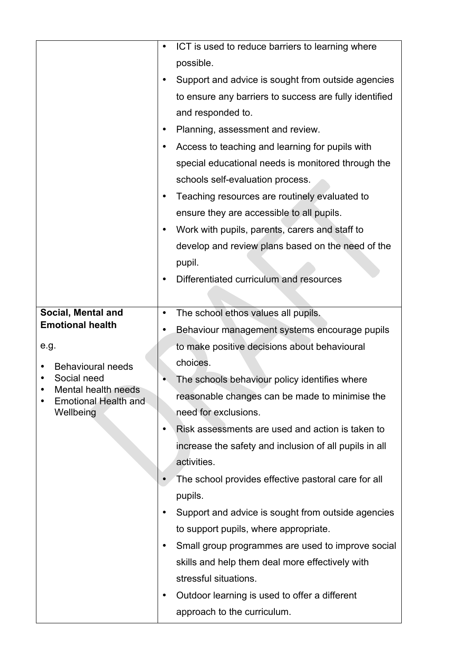|                                                    | ICT is used to reduce barriers to learning where<br>$\bullet$   |
|----------------------------------------------------|-----------------------------------------------------------------|
|                                                    | possible.                                                       |
|                                                    | Support and advice is sought from outside agencies<br>$\bullet$ |
|                                                    | to ensure any barriers to success are fully identified          |
|                                                    | and responded to.                                               |
|                                                    | Planning, assessment and review.<br>$\bullet$                   |
|                                                    | Access to teaching and learning for pupils with<br>٠            |
|                                                    | special educational needs is monitored through the              |
|                                                    | schools self-evaluation process.                                |
|                                                    | Teaching resources are routinely evaluated to<br>$\bullet$      |
|                                                    | ensure they are accessible to all pupils.                       |
|                                                    | Work with pupils, parents, carers and staff to<br>$\bullet$     |
|                                                    | develop and review plans based on the need of the               |
|                                                    | pupil.                                                          |
|                                                    | Differentiated curriculum and resources<br>٠                    |
|                                                    |                                                                 |
| Social, Mental and                                 | The school ethos values all pupils.<br>$\bullet$                |
| <b>Emotional health</b>                            | Behaviour management systems encourage pupils<br>$\bullet$      |
| e.g.                                               | to make positive decisions about behavioural                    |
| <b>Behavioural needs</b>                           | choices.                                                        |
| Social need                                        | The schools behaviour policy identifies where                   |
| Mental health needs<br><b>Emotional Health and</b> | reasonable changes can be made to minimise the                  |
| Wellbeing                                          | need for exclusions.                                            |
|                                                    | Risk assessments are used and action is taken to<br>$\bullet$   |
|                                                    | increase the safety and inclusion of all pupils in all          |
|                                                    | activities.                                                     |
|                                                    | The school provides effective pastoral care for all             |
|                                                    | pupils.                                                         |
|                                                    | Support and advice is sought from outside agencies              |
|                                                    | to support pupils, where appropriate.                           |
|                                                    | Small group programmes are used to improve social<br>٠          |
|                                                    | skills and help them deal more effectively with                 |
|                                                    | stressful situations.                                           |
|                                                    | Outdoor learning is used to offer a different<br>$\bullet$      |
|                                                    | approach to the curriculum.                                     |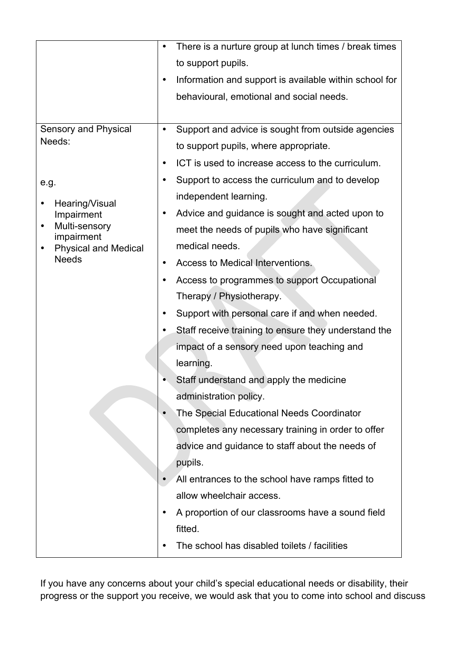|                                             | There is a nurture group at lunch times / break times<br>٠          |
|---------------------------------------------|---------------------------------------------------------------------|
|                                             | to support pupils.                                                  |
|                                             | Information and support is available within school for<br>$\bullet$ |
|                                             | behavioural, emotional and social needs.                            |
|                                             |                                                                     |
| <b>Sensory and Physical</b>                 | Support and advice is sought from outside agencies<br>$\bullet$     |
| Needs:                                      | to support pupils, where appropriate.                               |
|                                             | ICT is used to increase access to the curriculum.<br>$\bullet$      |
| e.g.                                        | Support to access the curriculum and to develop<br>$\bullet$        |
| Hearing/Visual                              | independent learning.                                               |
| Impairment                                  | Advice and guidance is sought and acted upon to<br>$\bullet$        |
| Multi-sensory<br>$\bullet$<br>impairment    | meet the needs of pupils who have significant                       |
| <b>Physical and Medical</b><br><b>Needs</b> | medical needs.                                                      |
|                                             | Access to Medical Interventions.<br>$\bullet$                       |
|                                             | Access to programmes to support Occupational<br>٠                   |
|                                             | Therapy / Physiotherapy.                                            |
|                                             | Support with personal care if and when needed.<br>$\bullet$         |
|                                             | Staff receive training to ensure they understand the                |
|                                             | impact of a sensory need upon teaching and                          |
|                                             | learning.                                                           |
|                                             | Staff understand and apply the medicine                             |
|                                             | administration policy.                                              |
|                                             | The Special Educational Needs Coordinator                           |
|                                             | completes any necessary training in order to offer                  |
|                                             | advice and guidance to staff about the needs of                     |
|                                             | pupils.                                                             |
|                                             | All entrances to the school have ramps fitted to                    |
|                                             | allow wheelchair access.                                            |
|                                             | A proportion of our classrooms have a sound field<br>٠              |
|                                             | fitted.                                                             |
|                                             | The school has disabled toilets / facilities                        |

If you have any concerns about your child's special educational needs or disability, their progress or the support you receive, we would ask that you to come into school and discuss